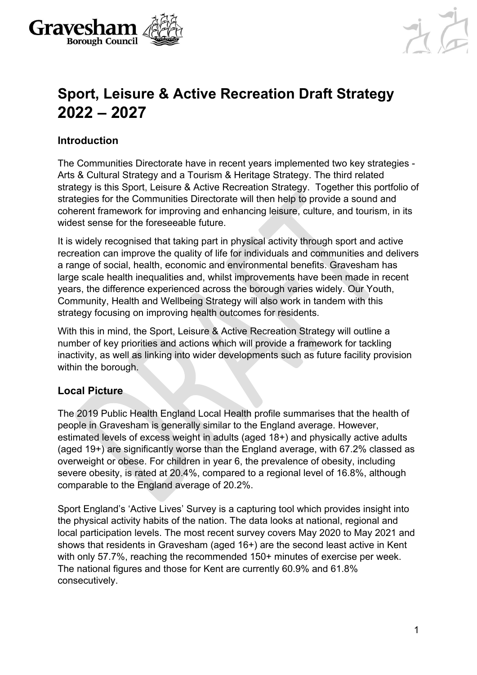



# **Sport, Leisure & Active Recreation Draft Strategy 2022 – 2027**

# **Introduction**

The Communities Directorate have in recent years implemented two key strategies - Arts & Cultural Strategy and a Tourism & Heritage Strategy. The third related strategy is this Sport, Leisure & Active Recreation Strategy. Together this portfolio of strategies for the Communities Directorate will then help to provide a sound and coherent framework for improving and enhancing leisure, culture, and tourism, in its widest sense for the foreseeable future.

It is widely recognised that taking part in physical activity through sport and active recreation can improve the quality of life for individuals and communities and delivers a range of social, health, economic and environmental benefits. Gravesham has large scale health inequalities and, whilst improvements have been made in recent years, the difference experienced across the borough varies widely. Our Youth, Community, Health and Wellbeing Strategy will also work in tandem with this strategy focusing on improving health outcomes for residents.

With this in mind, the Sport, Leisure & Active Recreation Strategy will outline a number of key priorities and actions which will provide a framework for tackling inactivity, as well as linking into wider developments such as future facility provision within the borough.

# **Local Picture**

The 2019 Public Health England Local Health profile summarises that the health of people in Gravesham is generally similar to the England average. However, estimated levels of excess weight in adults (aged 18+) and physically active adults (aged 19+) are significantly worse than the England average, with 67.2% classed as overweight or obese. For children in year 6, the prevalence of obesity, including severe obesity, is rated at 20.4%, compared to a regional level of 16.8%, although comparable to the England average of 20.2%.

Sport England's 'Active Lives' Survey is a capturing tool which provides insight into the physical activity habits of the nation. The data looks at national, regional and local participation levels. The most recent survey covers May 2020 to May 2021 and shows that residents in Gravesham (aged 16+) are the second least active in Kent with only 57.7%, reaching the recommended 150+ minutes of exercise per week. The national figures and those for Kent are currently 60.9% and 61.8% consecutively.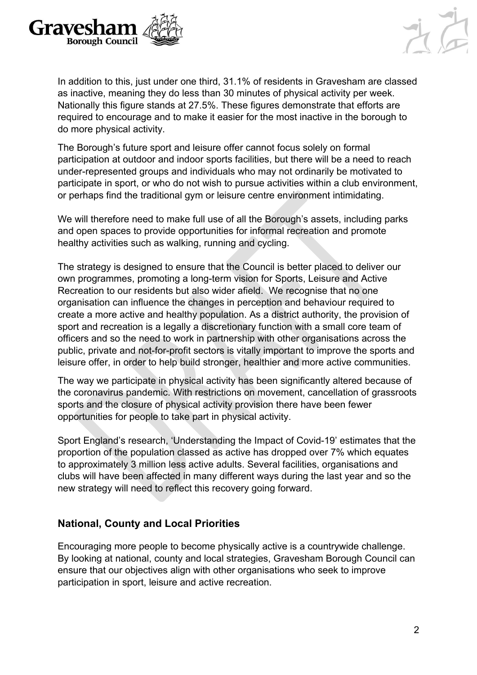



In addition to this, just under one third, 31.1% of residents in Gravesham are classed as inactive, meaning they do less than 30 minutes of physical activity per week. Nationally this figure stands at 27.5%. These figures demonstrate that efforts are required to encourage and to make it easier for the most inactive in the borough to do more physical activity.

The Borough's future sport and leisure offer cannot focus solely on formal participation at outdoor and indoor sports facilities, but there will be a need to reach under-represented groups and individuals who may not ordinarily be motivated to participate in sport, or who do not wish to pursue activities within a club environment, or perhaps find the traditional gym or leisure centre environment intimidating.

We will therefore need to make full use of all the Borough's assets, including parks and open spaces to provide opportunities for informal recreation and promote healthy activities such as walking, running and cycling.

The strategy is designed to ensure that the Council is better placed to deliver our own programmes, promoting a long-term vision for Sports, Leisure and Active Recreation to our residents but also wider afield. We recognise that no one organisation can influence the changes in perception and behaviour required to create a more active and healthy population. As a district authority, the provision of sport and recreation is a legally a discretionary function with a small core team of officers and so the need to work in partnership with other organisations across the public, private and not-for-profit sectors is vitally important to improve the sports and leisure offer, in order to help build stronger, healthier and more active communities.

The way we participate in physical activity has been significantly altered because of the coronavirus pandemic. With restrictions on movement, cancellation of grassroots sports and the closure of physical activity provision there have been fewer opportunities for people to take part in physical activity.

Sport England's research, 'Understanding the Impact of Covid-19' estimates that the proportion of the population classed as active has dropped over 7% which equates to approximately 3 million less active adults. Several facilities, organisations and clubs will have been affected in many different ways during the last year and so the new strategy will need to reflect this recovery going forward.

### **National, County and Local Priorities**

Encouraging more people to become physically active is a countrywide challenge. By looking at national, county and local strategies, Gravesham Borough Council can ensure that our objectives align with other organisations who seek to improve participation in sport, leisure and active recreation.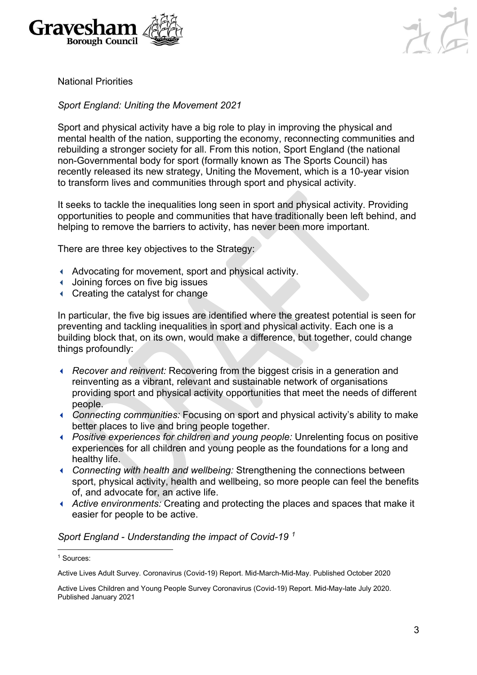



National Priorities

#### *Sport England: Uniting the Movement 2021*

Sport and physical activity have a big role to play in improving the physical and mental health of the nation, supporting the economy, reconnecting communities and rebuilding a stronger society for all. From this notion, Sport England (the national non-Governmental body for sport (formally known as The Sports Council) has recently released its new strategy, Uniting the Movement, which is a 10-year vision to transform lives and communities through sport and physical activity.

It seeks to tackle the inequalities long seen in sport and physical activity. Providing opportunities to people and communities that have traditionally been left behind, and helping to remove the barriers to activity, has never been more important.

There are three key objectives to the Strategy:

- Advocating for movement, sport and physical activity.
- Joining forces on five big issues
- Creating the catalyst for change

In particular, the five big issues are identified where the greatest potential is seen for preventing and tackling inequalities in sport and physical activity. Each one is a building block that, on its own, would make a difference, but together, could change things profoundly:

- *Recover and reinvent:* Recovering from the biggest crisis in a generation and reinventing as a vibrant, relevant and sustainable network of organisations providing sport and physical activity opportunities that meet the needs of different people.
- *Connecting communities:* Focusing on sport and physical activity's ability to make better places to live and bring people together.
- *Positive experiences for children and young people:* Unrelenting focus on positive experiences for all children and young people as the foundations for a long and healthy life.
- *Connecting with health and wellbeing:* Strengthening the connections between sport, physical activity, health and wellbeing, so more people can feel the benefits of, and advocate for, an active life.
- *Active environments:* Creating and protecting the places and spaces that make it easier for people to be active.

#### *Sport England - Understanding the impact of Covid-19 [1](#page-2-0)*

<span id="page-2-0"></span><sup>1</sup> Sources:

Active Lives Adult Survey. Coronavirus (Covid-19) Report. Mid-March-Mid-May. Published October 2020

Active Lives Children and Young People Survey Coronavirus (Covid-19) Report. Mid-May-late July 2020. Published January 2021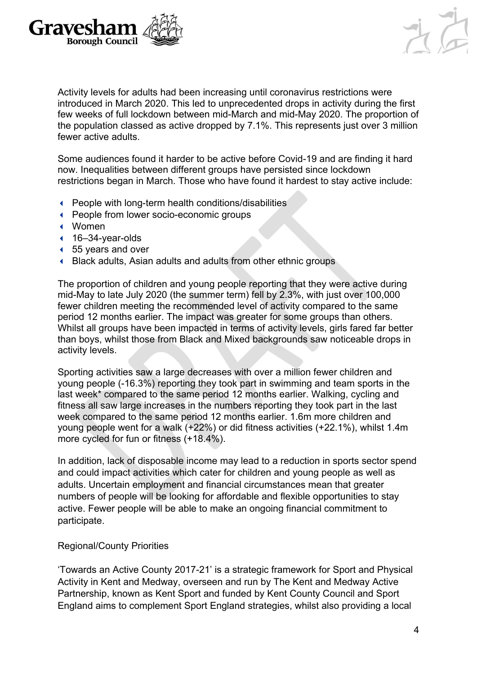



Activity levels for adults had been increasing until coronavirus restrictions were introduced in March 2020. This led to unprecedented drops in activity during the first few weeks of full lockdown between mid-March and mid-May 2020. The proportion of the population classed as active dropped by 7.1%. This represents just over 3 million fewer active adults.

Some audiences found it harder to be active before Covid-19 and are finding it hard now. Inequalities between different groups have persisted since lockdown restrictions began in March. Those who have found it hardest to stay active include:

- People with long-term health conditions/disabilities
- People from lower socio-economic groups
- Women
- $\triangleleft$  16–34-year-olds
- 55 years and over
- Black adults, Asian adults and adults from other ethnic groups

The proportion of children and young people reporting that they were active during mid-May to late July 2020 (the summer term) fell by 2.3%, with just over 100,000 fewer children meeting the recommended level of activity compared to the same period 12 months earlier. The impact was greater for some groups than others. Whilst all groups have been impacted in terms of activity levels, girls fared far better than boys, whilst those from Black and Mixed backgrounds saw noticeable drops in activity levels.

Sporting activities saw a large decreases with over a million fewer children and young people (-16.3%) reporting they took part in swimming and team sports in the last week\* compared to the same period 12 months earlier. Walking, cycling and fitness all saw large increases in the numbers reporting they took part in the last week compared to the same period 12 months earlier. 1.6m more children and young people went for a walk (+22%) or did fitness activities (+22.1%), whilst 1.4m more cycled for fun or fitness (+18.4%).

In addition, lack of disposable income may lead to a reduction in sports sector spend and could impact activities which cater for children and young people as well as adults. Uncertain employment and financial circumstances mean that greater numbers of people will be looking for affordable and flexible opportunities to stay active. Fewer people will be able to make an ongoing financial commitment to participate.

#### Regional/County Priorities

'Towards an Active County 2017-21' is a strategic framework for Sport and Physical Activity in Kent and Medway, overseen and run by The Kent and Medway Active Partnership, known as Kent Sport and funded by Kent County Council and Sport England aims to complement Sport England strategies, whilst also providing a local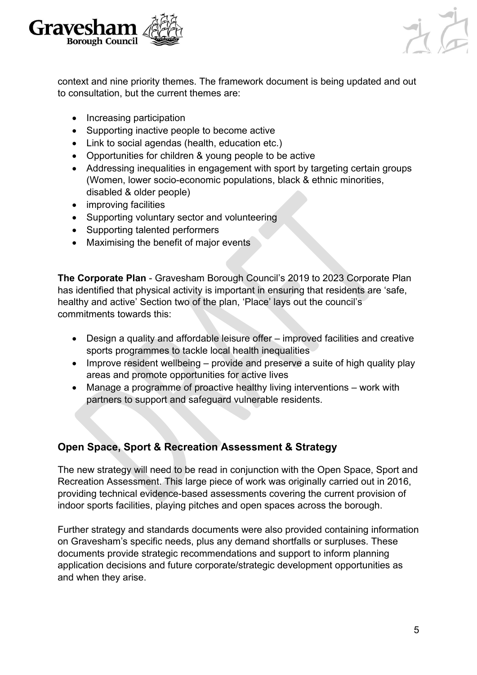



context and nine priority themes. The framework document is being updated and out to consultation, but the current themes are:

- Increasing participation
- Supporting inactive people to become active
- Link to social agendas (health, education etc.)
- Opportunities for children & young people to be active
- Addressing inequalities in engagement with sport by targeting certain groups (Women, lower socio-economic populations, black & ethnic minorities, disabled & older people)
- improving facilities
- Supporting voluntary sector and volunteering
- Supporting talented performers
- Maximising the benefit of major events

**The Corporate Plan** - Gravesham Borough Council's 2019 to 2023 Corporate Plan has identified that physical activity is important in ensuring that residents are 'safe, healthy and active' Section two of the plan, 'Place' lays out the council's commitments towards this:

- Design a quality and affordable leisure offer improved facilities and creative sports programmes to tackle local health inequalities
- Improve resident wellbeing provide and preserve a suite of high quality play areas and promote opportunities for active lives
- Manage a programme of proactive healthy living interventions work with partners to support and safeguard vulnerable residents.

# **Open Space, Sport & Recreation Assessment & Strategy**

The new strategy will need to be read in conjunction with the Open Space, Sport and Recreation Assessment. This large piece of work was originally carried out in 2016, providing technical evidence-based assessments covering the current provision of indoor sports facilities, playing pitches and open spaces across the borough.

Further strategy and standards documents were also provided containing information on Gravesham's specific needs, plus any demand shortfalls or surpluses. These documents provide strategic recommendations and support to inform planning application decisions and future corporate/strategic development opportunities as and when they arise.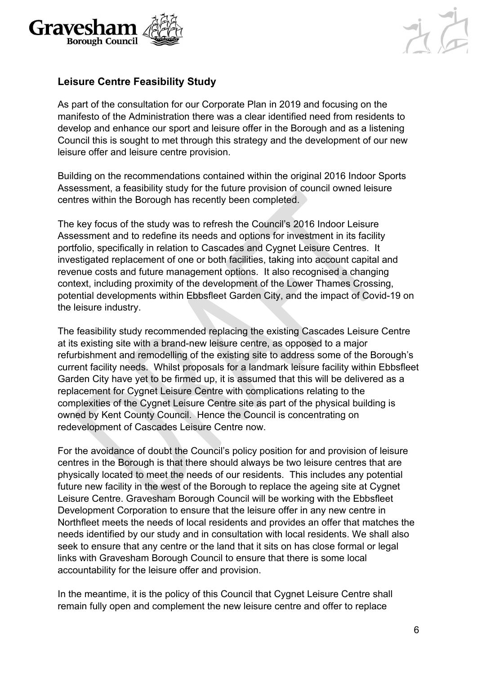



# **Leisure Centre Feasibility Study**

As part of the consultation for our Corporate Plan in 2019 and focusing on the manifesto of the Administration there was a clear identified need from residents to develop and enhance our sport and leisure offer in the Borough and as a listening Council this is sought to met through this strategy and the development of our new leisure offer and leisure centre provision.

Building on the recommendations contained within the original 2016 Indoor Sports Assessment, a feasibility study for the future provision of council owned leisure centres within the Borough has recently been completed.

The key focus of the study was to refresh the Council's 2016 Indoor Leisure Assessment and to redefine its needs and options for investment in its facility portfolio, specifically in relation to Cascades and Cygnet Leisure Centres. It investigated replacement of one or both facilities, taking into account capital and revenue costs and future management options. It also recognised a changing context, including proximity of the development of the Lower Thames Crossing, potential developments within Ebbsfleet Garden City, and the impact of Covid-19 on the leisure industry.

The feasibility study recommended replacing the existing Cascades Leisure Centre at its existing site with a brand-new leisure centre, as opposed to a major refurbishment and remodelling of the existing site to address some of the Borough's current facility needs. Whilst proposals for a landmark leisure facility within Ebbsfleet Garden City have yet to be firmed up, it is assumed that this will be delivered as a replacement for Cygnet Leisure Centre with complications relating to the complexities of the Cygnet Leisure Centre site as part of the physical building is owned by Kent County Council. Hence the Council is concentrating on redevelopment of Cascades Leisure Centre now.

For the avoidance of doubt the Council's policy position for and provision of leisure centres in the Borough is that there should always be two leisure centres that are physically located to meet the needs of our residents. This includes any potential future new facility in the west of the Borough to replace the ageing site at Cygnet Leisure Centre. Gravesham Borough Council will be working with the Ebbsfleet Development Corporation to ensure that the leisure offer in any new centre in Northfleet meets the needs of local residents and provides an offer that matches the needs identified by our study and in consultation with local residents. We shall also seek to ensure that any centre or the land that it sits on has close formal or legal links with Gravesham Borough Council to ensure that there is some local accountability for the leisure offer and provision.

In the meantime, it is the policy of this Council that Cygnet Leisure Centre shall remain fully open and complement the new leisure centre and offer to replace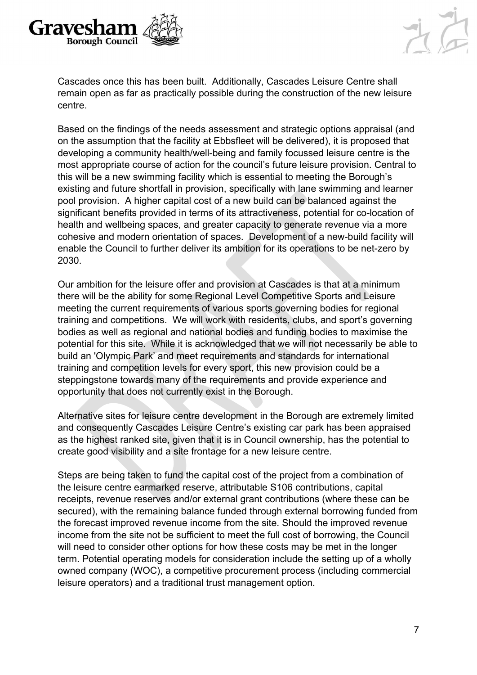



Cascades once this has been built. Additionally, Cascades Leisure Centre shall remain open as far as practically possible during the construction of the new leisure centre.

Based on the findings of the needs assessment and strategic options appraisal (and on the assumption that the facility at Ebbsfleet will be delivered), it is proposed that developing a community health/well-being and family focussed leisure centre is the most appropriate course of action for the council's future leisure provision. Central to this will be a new swimming facility which is essential to meeting the Borough's existing and future shortfall in provision, specifically with lane swimming and learner pool provision. A higher capital cost of a new build can be balanced against the significant benefits provided in terms of its attractiveness, potential for co-location of health and wellbeing spaces, and greater capacity to generate revenue via a more cohesive and modern orientation of spaces. Development of a new-build facility will enable the Council to further deliver its ambition for its operations to be net-zero by 2030.

Our ambition for the leisure offer and provision at Cascades is that at a minimum there will be the ability for some Regional Level Competitive Sports and Leisure meeting the current requirements of various sports governing bodies for regional training and competitions. We will work with residents, clubs, and sport's governing bodies as well as regional and national bodies and funding bodies to maximise the potential for this site. While it is acknowledged that we will not necessarily be able to build an 'Olympic Park' and meet requirements and standards for international training and competition levels for every sport, this new provision could be a steppingstone towards many of the requirements and provide experience and opportunity that does not currently exist in the Borough.

Alternative sites for leisure centre development in the Borough are extremely limited and consequently Cascades Leisure Centre's existing car park has been appraised as the highest ranked site, given that it is in Council ownership, has the potential to create good visibility and a site frontage for a new leisure centre.

Steps are being taken to fund the capital cost of the project from a combination of the leisure centre earmarked reserve, attributable S106 contributions, capital receipts, revenue reserves and/or external grant contributions (where these can be secured), with the remaining balance funded through external borrowing funded from the forecast improved revenue income from the site. Should the improved revenue income from the site not be sufficient to meet the full cost of borrowing, the Council will need to consider other options for how these costs may be met in the longer term. Potential operating models for consideration include the setting up of a wholly owned company (WOC), a competitive procurement process (including commercial leisure operators) and a traditional trust management option.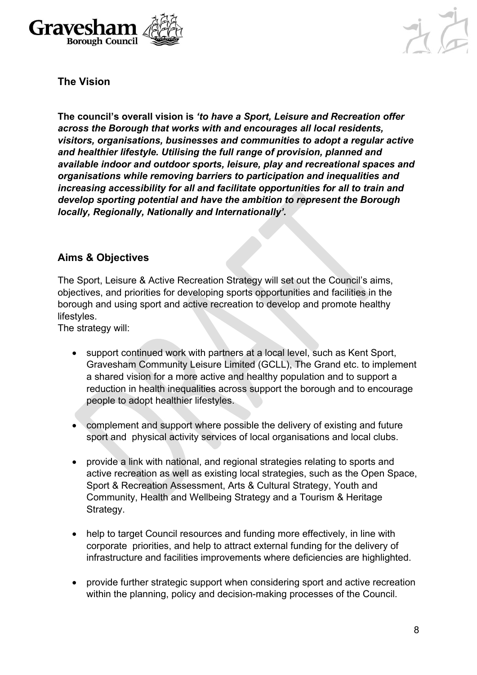



**The Vision**

**The council's overall vision is** *'to have a Sport, Leisure and Recreation offer across the Borough that works with and encourages all local residents, visitors, organisations, businesses and communities to adopt a regular active and healthier lifestyle. Utilising the full range of provision, planned and available indoor and outdoor sports, leisure, play and recreational spaces and organisations while removing barriers to participation and inequalities and increasing accessibility for all and facilitate opportunities for all to train and develop sporting potential and have the ambition to represent the Borough locally, Regionally, Nationally and Internationally'.*

## **Aims & Objectives**

The Sport, Leisure & Active Recreation Strategy will set out the Council's aims, objectives, and priorities for developing sports opportunities and facilities in the borough and using sport and active recreation to develop and promote healthy lifestyles.

The strategy will:

- support continued work with partners at a local level, such as Kent Sport, Gravesham Community Leisure Limited (GCLL), The Grand etc. to implement a shared vision for a more active and healthy population and to support a reduction in health inequalities across support the borough and to encourage people to adopt healthier lifestyles.
- complement and support where possible the delivery of existing and future sport and physical activity services of local organisations and local clubs.
- provide a link with national, and regional strategies relating to sports and active recreation as well as existing local strategies, such as the Open Space, Sport & Recreation Assessment, Arts & Cultural Strategy, Youth and Community, Health and Wellbeing Strategy and a Tourism & Heritage Strategy.
- help to target Council resources and funding more effectively, in line with corporate priorities, and help to attract external funding for the delivery of infrastructure and facilities improvements where deficiencies are highlighted.
- provide further strategic support when considering sport and active recreation within the planning, policy and decision-making processes of the Council.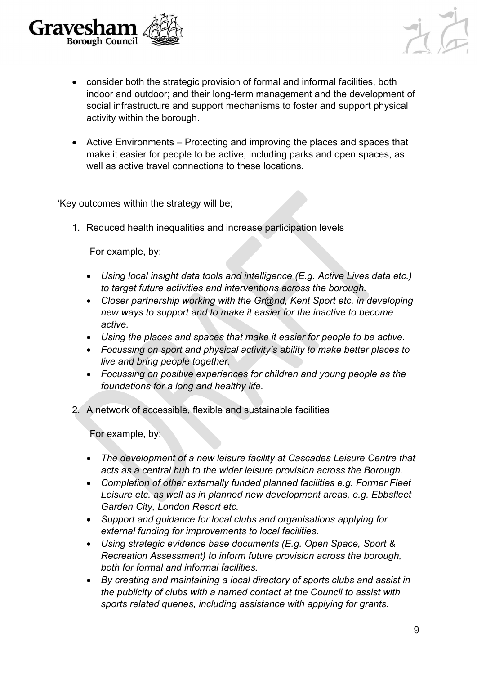



- consider both the strategic provision of formal and informal facilities, both indoor and outdoor; and their long-term management and the development of social infrastructure and support mechanisms to foster and support physical activity within the borough.
- Active Environments Protecting and improving the places and spaces that make it easier for people to be active, including parks and open spaces, as well as active travel connections to these locations.

'Key outcomes within the strategy will be;

1. Reduced health inequalities and increase participation levels

For example, by;

- *Using local insight data tools and intelligence (E.g. Active Lives data etc.) to target future activities and interventions across the borough.*
- *Closer partnership working with the Gr@nd, Kent Sport etc. in developing new ways to support and to make it easier for the inactive to become active.*
- *Using the places and spaces that make it easier for people to be active.*
- *Focussing on sport and physical activity's ability to make better places to live and bring people together.*
- *Focussing on positive experiences for children and young people as the foundations for a long and healthy life.*
- 2. A network of accessible, flexible and sustainable facilities

For example, by;

- *The development of a new leisure facility at Cascades Leisure Centre that acts as a central hub to the wider leisure provision across the Borough.*
- *Completion of other externally funded planned facilities e.g. Former Fleet Leisure etc. as well as in planned new development areas, e.g. Ebbsfleet Garden City, London Resort etc.*
- *Support and guidance for local clubs and organisations applying for external funding for improvements to local facilities.*
- *Using strategic evidence base documents (E.g. Open Space, Sport & Recreation Assessment) to inform future provision across the borough, both for formal and informal facilities.*
- *By creating and maintaining a local directory of sports clubs and assist in the publicity of clubs with a named contact at the Council to assist with sports related queries, including assistance with applying for grants.*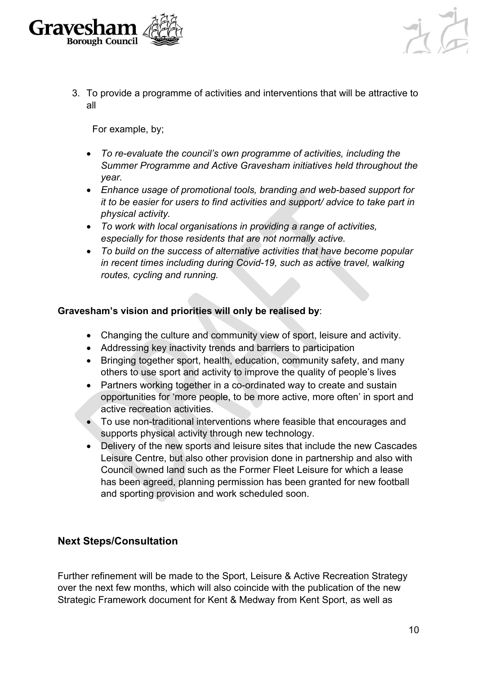



3. To provide a programme of activities and interventions that will be attractive to all

For example, by;

- *To re-evaluate the council's own programme of activities, including the Summer Programme and Active Gravesham initiatives held throughout the year.*
- *Enhance usage of promotional tools, branding and web-based support for it to be easier for users to find activities and support/ advice to take part in physical activity.*
- *To work with local organisations in providing a range of activities, especially for those residents that are not normally active.*
- *To build on the success of alternative activities that have become popular in recent times including during Covid-19, such as active travel, walking routes, cycling and running.*

#### **Gravesham's vision and priorities will only be realised by**:

- Changing the culture and community view of sport, leisure and activity.
- Addressing key inactivity trends and barriers to participation
- Bringing together sport, health, education, community safety, and many others to use sport and activity to improve the quality of people's lives
- Partners working together in a co-ordinated way to create and sustain opportunities for 'more people, to be more active, more often' in sport and active recreation activities.
- To use non-traditional interventions where feasible that encourages and supports physical activity through new technology.
- Delivery of the new sports and leisure sites that include the new Cascades Leisure Centre, but also other provision done in partnership and also with Council owned land such as the Former Fleet Leisure for which a lease has been agreed, planning permission has been granted for new football and sporting provision and work scheduled soon.

### **Next Steps/Consultation**

Further refinement will be made to the Sport, Leisure & Active Recreation Strategy over the next few months, which will also coincide with the publication of the new Strategic Framework document for Kent & Medway from Kent Sport, as well as